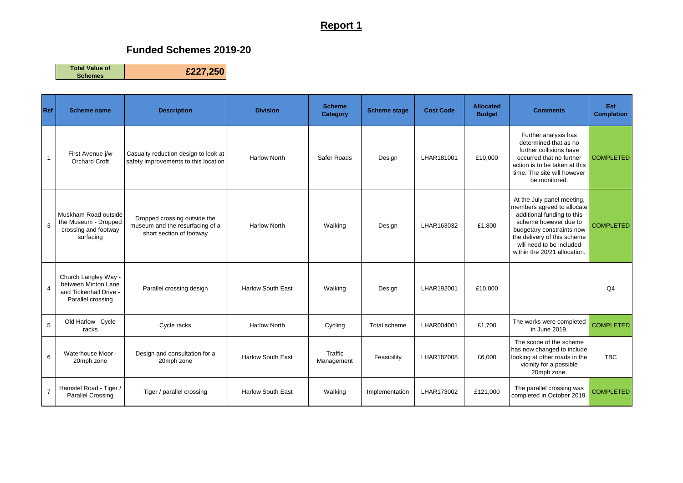## **Report 1**

## **Funded Schemes 2019-20**

**Total Value of Schemes £227,250**

**Ref Scheme name Description Division Scheme Category Scheme stage Cost Code Allocated Comments Est Completion** 1 First Avenue j/w Orchard Croft Casualty reduction design to look at Safety improvements to this location Narlow North Safer Roads Besign | LHAR181001 E10,000 Further analysis has determined that as no further collisions have occurred that no further action is to be taken at this time. The site will however be monitored. **COMPLETED** 3 Muskham Road outside the Museum - Dropped crossing and footway surfacing Dropped crossing outside the museum and the resurfacing of a short section of footway Harlow North | Walking | Design | LHAR163032 | £1,800 At the July panel meeting, members agreed to allocate additional funding to this scheme however due to budgetary constraints now the delivery of this scheme will need to be included within the 20/21 allocation. **COMPLETED** 4 Church Langley Way between Minton Lane and Tickenhall Drive Parallel crossing Parallel crossing design | Harlow South East | Walking | Design | LHAR192001 | £10,000 | | | | | | Q4 5 Old Harlow - Cycle rlow Cycle Cycle racks (Cycle racks Harlow North Cycling Total scheme LHAR004001 £1,700 The works were completed<br>The works were completed in June 2019. The works were completed<br>in June 2019. 6 Waterhouse Moor - 20mph zone Design and consultation for a **Fraffic**<br>20mph zone **Managem** Traffic | Feasibility | LHAR182008 | £6,000 The scope of the scheme has now changed to include looking at other roads in the vicinity for a possible 20mph zone. TBC 7 Hamstel Road - Tiger / mstel Road - Tiger / | Tiger / parallel crossing | Harlow South East | Walking | Implementation | LHAR173002 | £121,000 | The parallel crossing was<br>Parallel Crossing | The parallel crossing | Harlow South East | Walking | The parallel crossing was<br>completed in October 2019. COMPLETED